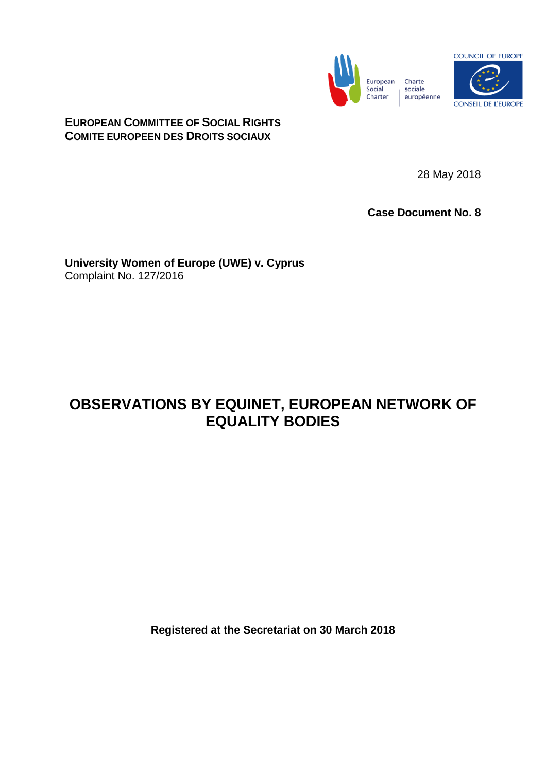

**EUROPEAN COMMITTEE OF SOCIAL RIGHTS COMITE EUROPEEN DES DROITS SOCIAUX**

28 May 2018

**Case Document No. 8**

**University Women of Europe (UWE) v. Cyprus** Complaint No. 127/2016

## **OBSERVATIONS BY EQUINET, EUROPEAN NETWORK OF EQUALITY BODIES**

**Registered at the Secretariat on 30 March 2018**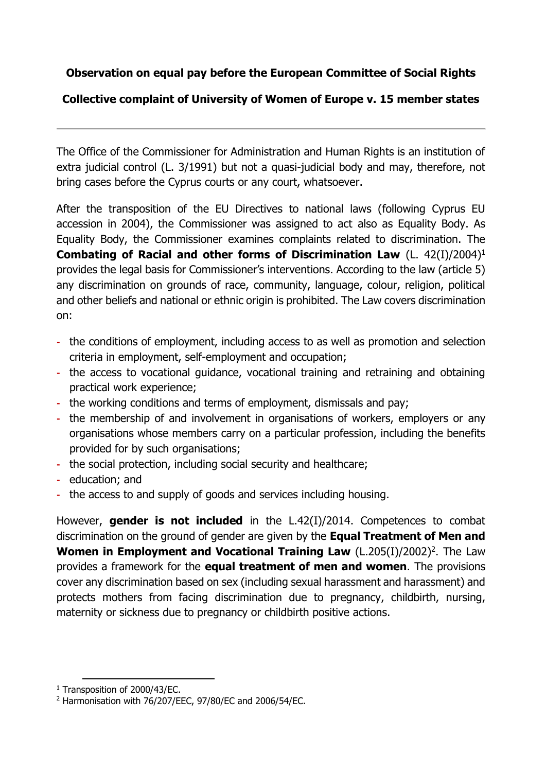## **Observation on equal pay before the European Committee of Social Rights**

## **Collective complaint of University of Women of Europe v. 15 member states**

The Office of the Commissioner for Administration and Human Rights is an institution of extra judicial control (L. 3/1991) but not a quasi-judicial body and may, therefore, not bring cases before the Cyprus courts or any court, whatsoever.

After the transposition of the EU Directives to national laws (following Cyprus EU accession in 2004), the Commissioner was assigned to act also as Equality Body. As Equality Body, the Commissioner examines complaints related to discrimination. The **Combating of Racial and other forms of Discrimination Law** (L. 42(I)/2004)<sup>1</sup> provides the legal basis for Commissioner's interventions. According to the law (article 5) any discrimination on grounds of race, community, language, colour, religion, political and other beliefs and national or ethnic origin is prohibited. The Law covers discrimination on:

- **-** the conditions of employment, including access to as well as promotion and selection criteria in employment, self-employment and occupation;
- **-** the access to vocational guidance, vocational training and retraining and obtaining practical work experience;
- **-** the working conditions and terms of employment, dismissals and pay;
- **-** the membership of and involvement in organisations of workers, employers or any organisations whose members carry on a particular profession, including the benefits provided for by such organisations;
- **-** the social protection, including social security and healthcare;
- **-** education; and
- **-** the access to and supply of goods and services including housing.

However, **gender is not included** in the L.42(I)/2014. Competences to combat discrimination on the ground of gender are given by the **Equal Treatment of Men and Women in Employment and Vocational Training Law** (L.205(I)/2002)<sup>2</sup>. The Law provides a framework for the **equal treatment of men and women**. The provisions cover any discrimination based on sex (including sexual harassment and harassment) and protects mothers from facing discrimination due to pregnancy, childbirth, nursing, maternity or sickness due to pregnancy or childbirth positive actions.

**<sup>.</sup>** <sup>1</sup> Transposition of 2000/43/EC.

<sup>2</sup> Harmonisation with 76/207/EEC, 97/80/EC and 2006/54/EC.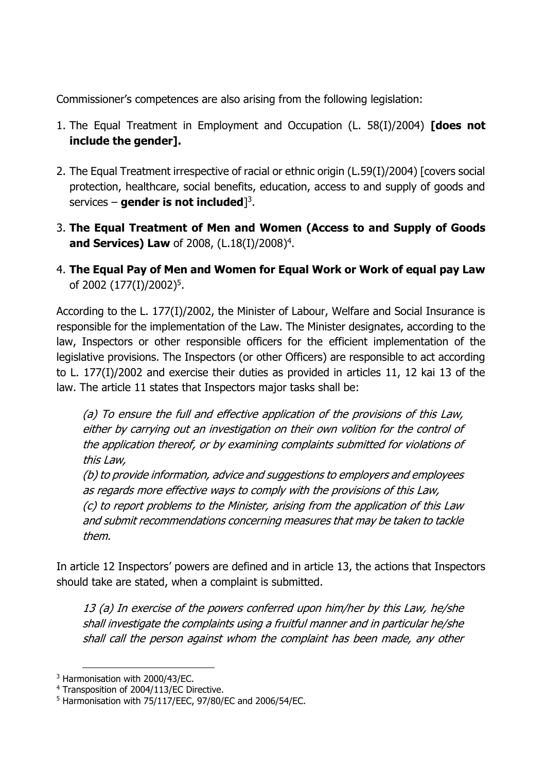Commissioner's competences are also arising from the following legislation:

- 1. The Equal Treatment in Employment and Occupation (L. 58(I)/2004) **[does not include the gender].**
- 2. The Equal Treatment irrespective of racial or ethnic origin (L.59(I)/2004) [covers social protection, healthcare, social benefits, education, access to and supply of goods and services – **gender is not included**] 3 .
- 3. **Τhe Equal Treatment of Men and Women (Access to and Supply of Goods and Services) Law** of 2008, (L.18(I)/2008)<sup>4</sup>.
- 4. **The Equal Pay of Men and Women for Equal Work or Work of equal pay Law** of 2002 (177(I)/2002)<sup>5</sup>.

According to the L. 177(I)/2002, the Minister of Labour, Welfare and Social Insurance is responsible for the implementation of the Law. The Minister designates, according to the law, Inspectors or other responsible officers for the efficient implementation of the legislative provisions. The Inspectors (or other Officers) are responsible to act according to L. 177(I)/2002 and exercise their duties as provided in articles 11, 12 kai 13 of the law. The article 11 states that Inspectors major tasks shall be:

(a) To ensure the full and effective application of the provisions of this Law, either by carrying out an investigation on their own volition for the control of the application thereof, or by examining complaints submitted for violations of this Law,

(b) to provide information, advice and suggestions to employers and employees as regards more effective ways to comply with the provisions of this Law, (c) to report problems to the Minister, arising from the application of this Law and submit recommendations concerning measures that may be taken to tackle them.

In article 12 Inspectors' powers are defined and in article 13, the actions that Inspectors should take are stated, when a complaint is submitted.

13 (a) In exercise of the powers conferred upon him/her by this Law, he/she shall investigate the complaints using a fruitful manner and in particular he/she shall call the person against whom the complaint has been made, any other

**<sup>.</sup>** <sup>3</sup> Harmonisation with 2000/43/EC.

<sup>4</sup> Transposition of 2004/113/EC Directive.

<sup>5</sup> Harmonisation with 75/117/EEC, 97/80/EC and 2006/54/EC.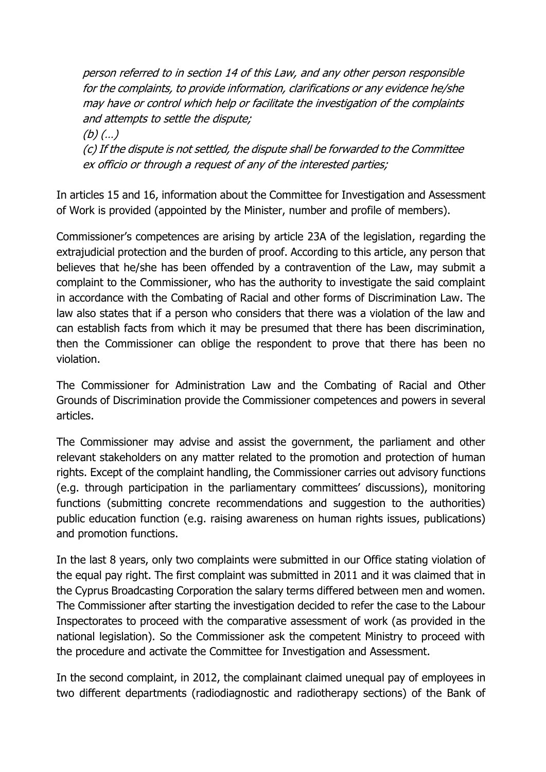person referred to in section 14 of this Law, and any other person responsible for the complaints, to provide information, clarifications or any evidence he/she may have or control which help or facilitate the investigation of the complaints and attempts to settle the dispute; (b)  $(...)$ (c) If the dispute is not settled, the dispute shall be forwarded to the Committee ex officio or through a request of any of the interested parties;

In articles 15 and 16, information about the Committee for Investigation and Assessment of Work is provided (appointed by the Minister, number and profile of members).

Commissioner's competences are arising by article 23A of the legislation, regarding the extrajudicial protection and the burden of proof. According to this article, any person that believes that he/she has been offended by a contravention of the Law, may submit a complaint to the Commissioner, who has the authority to investigate the said complaint in accordance with the Combating of Racial and other forms of Discrimination Law. The law also states that if a person who considers that there was a violation of the law and can establish facts from which it may be presumed that there has been discrimination, then the Commissioner can oblige the respondent to prove that there has been no violation.

The Commissioner for Administration Law and the Combating of Racial and Other Grounds of Discrimination provide the Commissioner competences and powers in several articles.

The Commissioner may advise and assist the government, the parliament and other relevant stakeholders on any matter related to the promotion and protection of human rights. Except of the complaint handling, the Commissioner carries out advisory functions (e.g. through participation in the parliamentary committees' discussions), monitoring functions (submitting concrete recommendations and suggestion to the authorities) public education function (e.g. raising awareness on human rights issues, publications) and promotion functions.

In the last 8 years, only two complaints were submitted in our Office stating violation of the equal pay right. The first complaint was submitted in 2011 and it was claimed that in the Cyprus Broadcasting Corporation the salary terms differed between men and women. The Commissioner after starting the investigation decided to refer the case to the Labour Inspectorates to proceed with the comparative assessment of work (as provided in the national legislation). So the Commissioner ask the competent Ministry to proceed with the procedure and activate the Committee for Investigation and Assessment.

In the second complaint, in 2012, the complainant claimed unequal pay of employees in two different departments (radiodiagnostic and radiotherapy sections) of the Bank of